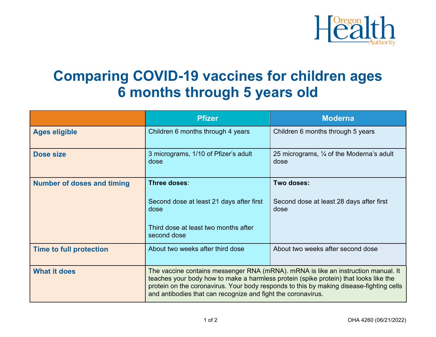

## **Comparing COVID-19 vaccines for children ages 6 months through 5 years old**

|                                   | <b>Pfizer</b>                                                                                                                                                                                                                                                                                                                        | <b>Moderna</b>                                              |
|-----------------------------------|--------------------------------------------------------------------------------------------------------------------------------------------------------------------------------------------------------------------------------------------------------------------------------------------------------------------------------------|-------------------------------------------------------------|
| <b>Ages eligible</b>              | Children 6 months through 4 years                                                                                                                                                                                                                                                                                                    | Children 6 months through 5 years                           |
| <b>Dose size</b>                  | 3 micrograms, 1/10 of Pfizer's adult<br>dose                                                                                                                                                                                                                                                                                         | 25 micrograms, $\frac{1}{4}$ of the Moderna's adult<br>dose |
| <b>Number of doses and timing</b> | Three doses:                                                                                                                                                                                                                                                                                                                         | Two doses:                                                  |
|                                   | Second dose at least 21 days after first<br>dose                                                                                                                                                                                                                                                                                     | Second dose at least 28 days after first<br>dose            |
|                                   | Third dose at least two months after<br>second dose                                                                                                                                                                                                                                                                                  |                                                             |
| <b>Time to full protection</b>    | About two weeks after third dose                                                                                                                                                                                                                                                                                                     | About two weeks after second dose                           |
| <b>What it does</b>               | The vaccine contains messenger RNA (mRNA). mRNA is like an instruction manual. It<br>teaches your body how to make a harmless protein (spike protein) that looks like the<br>protein on the coronavirus. Your body responds to this by making disease-fighting cells<br>and antibodies that can recognize and fight the coronavirus. |                                                             |